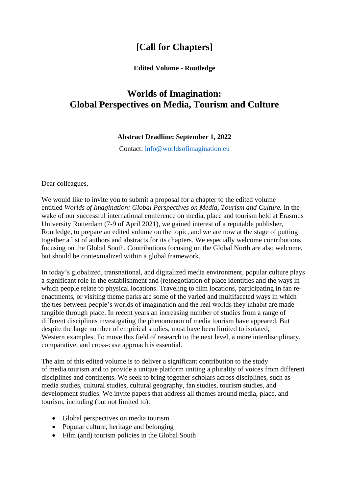## **[Call for Chapters]**

## **Edited Volume - Routledge**

## **Worlds of Imagination: Global Perspectives on Media, Tourism and Culture**

## **Abstract Deadline: September 1, 2022**

Contact: [info@worldsofimagination.eu](mailto:info@worldsofimagination.eu)

Dear colleagues,

We would like to invite you to submit a proposal for a chapter to the edited volume entitled *Worlds of Imagination: Global Perspectives on Media, Tourism and Culture.* In the wake of our successful international conference on media, place and tourism held at Erasmus University Rotterdam (7-9 of April 2021), we gained interest of a reputable publisher, Routledge, to prepare an edited volume on the topic, and we are now at the stage of putting together a list of authors and abstracts for its chapters. We especially welcome contributions focusing on the Global South. Contributions focusing on the Global North are also welcome, but should be contextualized within a global framework.

In today's globalized, transnational, and digitalized media environment, popular culture plays a significant role in the establishment and (re)negotiation of place identities and the ways in which people relate to physical locations. Traveling to film locations, participating in fan reenactments, or visiting theme parks are some of the varied and multifaceted ways in which the ties between people's worlds of imagination and the real worlds they inhabit are made tangible through place. In recent years an increasing number of studies from a range of different disciplines investigating the phenomenon of media tourism have appeared. But despite the large number of empirical studies, most have been limited to isolated, Western examples. To move this field of research to the next level, a more interdisciplinary, comparative, and cross-case approach is essential.

The aim of this edited volume is to deliver a significant contribution to the study of media tourism and to provide a unique platform uniting a plurality of voices from different disciplines and continents. We seek to bring together scholars across disciplines, such as media studies, cultural studies, cultural geography, fan studies, tourism studies, and development studies. We invite papers that address all themes around media, place, and tourism, including (but not limited to):

- Global perspectives on media tourism
- Popular culture, heritage and belonging
- Film (and) tourism policies in the Global South